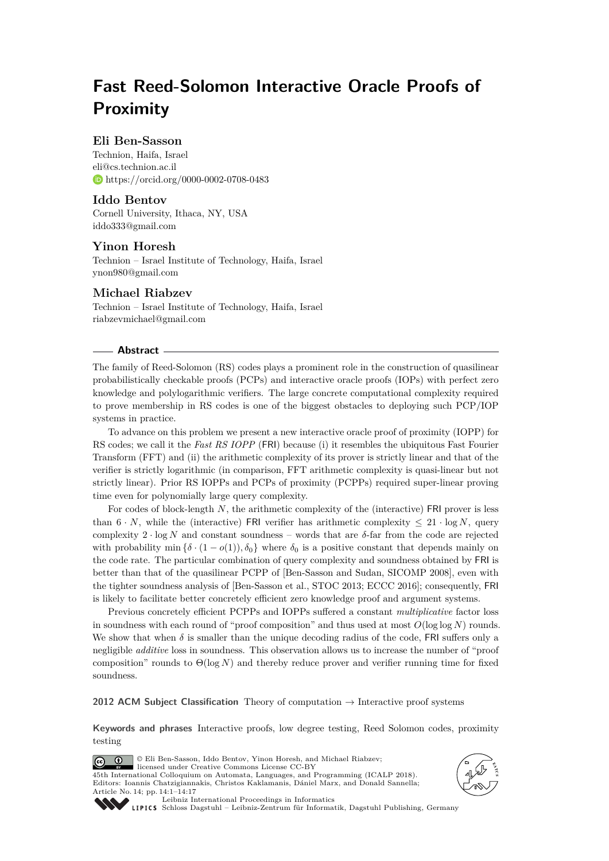# **Fast Reed-Solomon Interactive Oracle Proofs of Proximity**

## **Eli Ben-Sasson**

Technion, Haifa, Israel [eli@cs.technion.ac.il](mailto:eli@cs.technion.ac.il) <https://orcid.org/0000-0002-0708-0483>

## **Iddo Bentov**

Cornell University, Ithaca, NY, USA [iddo333@gmail.com](mailto:iddo333@gmail.com)

## **Yinon Horesh**

Technion – Israel Institute of Technology, Haifa, Israel [ynon980@gmail.com](mailto:ynon980@gmail.com)

## **Michael Riabzev**

Technion – Israel Institute of Technology, Haifa, Israel [riabzevmichael@gmail.com](mailto:riabzevmichael@gmail.com)

#### **Abstract**

The family of Reed-Solomon (RS) codes plays a prominent role in the construction of quasilinear probabilistically checkable proofs (PCPs) and interactive oracle proofs (IOPs) with perfect zero knowledge and polylogarithmic verifiers. The large concrete computational complexity required to prove membership in RS codes is one of the biggest obstacles to deploying such PCP/IOP systems in practice.

To advance on this problem we present a new interactive oracle proof of proximity (IOPP) for RS codes; we call it the *Fast RS IOPP* (FRI) because (i) it resembles the ubiquitous Fast Fourier Transform (FFT) and (ii) the arithmetic complexity of its prover is strictly linear and that of the verifier is strictly logarithmic (in comparison, FFT arithmetic complexity is quasi-linear but not strictly linear). Prior RS IOPPs and PCPs of proximity (PCPPs) required super-linear proving time even for polynomially large query complexity.

For codes of block-length *N*, the arithmetic complexity of the (interactive) FRI prover is less than  $6 \cdot N$ , while the (interactive) FRI verifier has arithmetic complexity  $\leq 21 \cdot \log N$ , query complexity 2 · log *N* and constant soundness – words that are *δ*-far from the code are rejected with probability min  $\{\delta \cdot (1 - o(1)), \delta_0\}$  where  $\delta_0$  is a positive constant that depends mainly on the code rate. The particular combination of query complexity and soundness obtained by FRI is better than that of the quasilinear PCPP of [Ben-Sasson and Sudan, SICOMP 2008], even with the tighter soundness analysis of [Ben-Sasson et al., STOC 2013; ECCC 2016]; consequently, FRI is likely to facilitate better concretely efficient zero knowledge proof and argument systems.

Previous concretely efficient PCPPs and IOPPs suffered a constant *multiplicative* factor loss in soundness with each round of "proof composition" and thus used at most *O*(log log *N*) rounds. We show that when  $\delta$  is smaller than the unique decoding radius of the code, FRI suffers only a negligible *additive* loss in soundness. This observation allows us to increase the number of "proof composition" rounds to Θ(log *N*) and thereby reduce prover and verifier running time for fixed soundness.

**2012 ACM Subject Classification** Theory of computation → Interactive proof systems

**Keywords and phrases** Interactive proofs, low degree testing, Reed Solomon codes, proximity testing







[Leibniz International Proceedings in Informatics](http://www.dagstuhl.de/lipics/)

[Schloss Dagstuhl – Leibniz-Zentrum für Informatik, Dagstuhl Publishing, Germany](http://www.dagstuhl.de)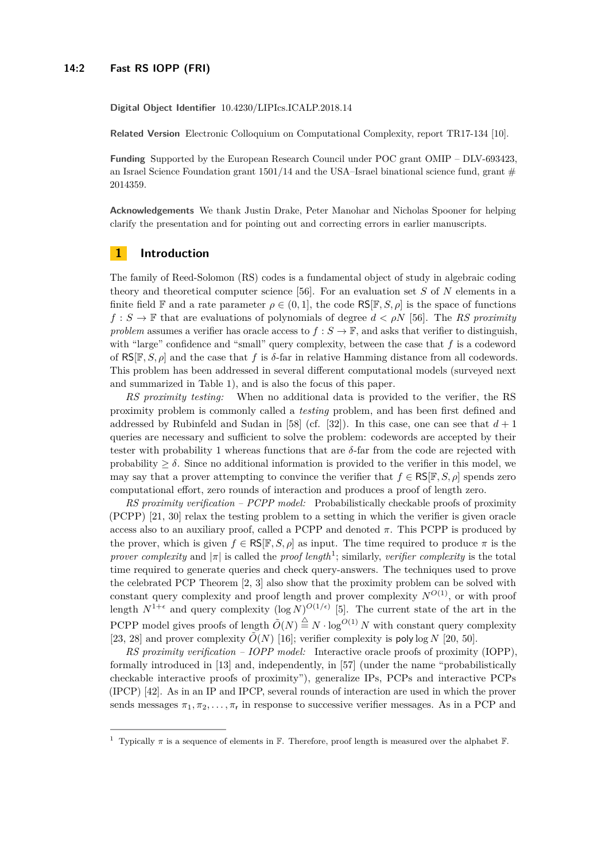#### **14:2 Fast RS IOPP (FRI)**

**Digital Object Identifier** [10.4230/LIPIcs.ICALP.2018.14](http://dx.doi.org/10.4230/LIPIcs.ICALP.2018.14)

**Related Version** Electronic Colloquium on Computational Complexity, [report TR17-134](https://eccc.weizmann.ac.il/report/2017/134/) [\[10\]](#page-13-0).

**Funding** Supported by the European Research Council under POC grant OMIP – DLV-693423, an Israel Science Foundation grant  $1501/14$  and the USA–Israel binational science fund, grant # 2014359.

**Acknowledgements** We thank Justin Drake, Peter Manohar and Nicholas Spooner for helping clarify the presentation and for pointing out and correcting errors in earlier manuscripts.

## **1 Introduction**

The family of Reed-Solomon (RS) codes is a fundamental object of study in algebraic coding theory and theoretical computer science [\[56\]](#page-15-0). For an evaluation set *S* of *N* elements in a finite field F and a rate parameter  $\rho \in (0,1]$ , the code  $\mathsf{RS}[\mathbb{F},S,\rho]$  is the space of functions  $f : S \to \mathbb{F}$  that are evaluations of polynomials of degree  $d < \rho N$  [\[56\]](#page-15-0). The *RS proximity problem* assumes a verifier has oracle access to  $f : S \to \mathbb{F}$ , and asks that verifier to distinguish, with "large" confidence and "small" query complexity, between the case that f is a codeword of RS[F*, S, ρ*] and the case that *f* is *δ*-far in relative Hamming distance from all codewords. This problem has been addressed in several different computational models (surveyed next and summarized in Table [1\)](#page-2-0), and is also the focus of this paper.

*RS proximity testing:* When no additional data is provided to the verifier, the RS proximity problem is commonly called a *testing* problem, and has been first defined and addressed by Rubinfeld and Sudan in [\[58\]](#page-15-1) (cf. [\[32\]](#page-14-0)). In this case, one can see that  $d+1$ queries are necessary and sufficient to solve the problem: codewords are accepted by their tester with probability 1 whereas functions that are *δ*-far from the code are rejected with probability  $\geq \delta$ . Since no additional information is provided to the verifier in this model, we may say that a prover attempting to convince the verifier that  $f \in \text{RS}[\mathbb{F}, S, \rho]$  spends zero computational effort, zero rounds of interaction and produces a proof of length zero.

*RS proximity verification – PCPP model:* Probabilistically checkable proofs of proximity (PCPP) [\[21,](#page-13-1) [30\]](#page-14-1) relax the testing problem to a setting in which the verifier is given oracle access also to an auxiliary proof, called a PCPP and denoted  $\pi$ . This PCPP is produced by the prover, which is given  $f \in \mathsf{RS}[\mathbb{F}, S, \rho]$  as input. The time required to produce  $\pi$  is the *prover complexity* and  $|\pi|$  is called the *proof length*<sup>[1](#page-1-0)</sup>; similarly, *verifier complexity* is the total time required to generate queries and check query-answers. The techniques used to prove the celebrated PCP Theorem [\[2,](#page-12-0) [3\]](#page-12-1) also show that the proximity problem can be solved with constant query complexity and proof length and prover complexity  $N^{O(1)}$ , or with proof length  $N^{1+\epsilon}$  and query complexity  $(\log N)^{O(1/\epsilon)}$  [\[5\]](#page-12-2). The current state of the art in the PCPP model gives proofs of length  $\tilde{O}(N) \stackrel{\triangle}{=} N \cdot \log^{O(1)} N$  with constant query complexity [\[23,](#page-13-2) [28\]](#page-14-2) and prover complexity  $\tilde{O}(N)$  [\[16\]](#page-13-3); verifier complexity is poly log *N* [\[20,](#page-13-4) [50\]](#page-15-2).

*RS proximity verification – IOPP model:* Interactive oracle proofs of proximity (IOPP), formally introduced in [\[13\]](#page-13-5) and, independently, in [\[57\]](#page-15-3) (under the name "probabilistically checkable interactive proofs of proximity"), generalize IPs, PCPs and interactive PCPs (IPCP) [\[42\]](#page-14-3). As in an IP and IPCP, several rounds of interaction are used in which the prover sends messages  $\pi_1, \pi_2, \ldots, \pi_r$  in response to successive verifier messages. As in a PCP and

<span id="page-1-0"></span><sup>&</sup>lt;sup>1</sup> Typically  $\pi$  is a sequence of elements in F. Therefore, proof length is measured over the alphabet  $\mathbb{F}$ .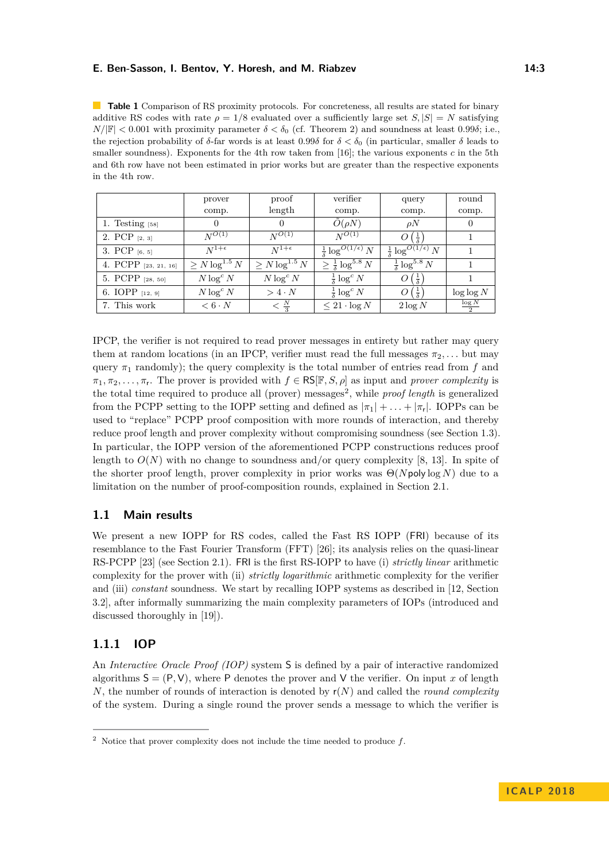<span id="page-2-0"></span>**Table 1** Comparison of RS proximity protocols. For concreteness, all results are stated for binary additive RS codes with rate  $\rho = 1/8$  evaluated over a sufficiently large set  $S, |S| = N$  satisfying  $N/|\mathbb{F}| < 0.001$  with proximity parameter  $\delta < \delta_0$  (cf. Theorem [2\)](#page-4-0) and soundness at least 0.99 $\delta$ ; i.e., the rejection probability of *δ*-far words is at least 0.99*δ* for  $\delta < \delta_0$  (in particular, smaller *δ* leads to smaller soundness). Exponents for the 4th row taken from  $[16]$ ; the various exponents  $c$  in the 5th and 6th row have not been estimated in prior works but are greater than the respective exponents in the 4th row.

|                      | prover                | proof                         | verifier                                  | query                                     | round            |
|----------------------|-----------------------|-------------------------------|-------------------------------------------|-------------------------------------------|------------------|
|                      | comp.                 | length                        | comp.                                     | comp.                                     | comp.            |
| 1. Testing $[58]$    | $\Omega$              | $\left( \right)$              | $O(\rho N)$                               | $\rho N$                                  | $\theta$         |
| 2. PCP $[2, 3]$      | $N^{O(1)}$            | $N^{O(1)}$                    | $N^{O(1)}$                                | $O\left(\frac{1}{\delta}\right)$          |                  |
| 3. PCP $[6, 5]$      | $N^{1+\epsilon}$      | $N^{1+\epsilon}$              | $\frac{1}{\delta} \log^{O(1/\epsilon)} N$ | $\frac{1}{\delta} \log^{O(1/\epsilon)} N$ |                  |
| 4. PCPP [23, 21, 16] | $\geq N \log^{1.5} N$ | $\geq N \log^{1.5} N$         | $\geq \frac{1}{\delta} \log^{5.8} N$      | $\frac{1}{5}$ log <sup>5.8</sup> N        |                  |
| 5. PCPP [28, 50]     | $N \log^c N$          | $N \log^c N$                  | $\frac{1}{\delta} \log^c N$               | $O\left(\frac{1}{\delta}\right)$          |                  |
| 6. IOPP [12, 9]      | $N \log^c N$          | $> 4 \cdot N$                 | $rac{1}{\delta} \log^c N$                 | $O\left(\frac{1}{\delta}\right)$          | $\log \log N$    |
| 7. This work         | $< 6 \cdot N$         | $\langle \frac{N}{3} \rangle$ | $\leq 21 \cdot \log N$                    | $2 \log N$                                | $rac{\log N}{2}$ |

IPCP, the verifier is not required to read prover messages in entirety but rather may query them at random locations (in an IPCP, verifier must read the full messages  $\pi_2, \ldots$  but may query  $\pi_1$  randomly); the query complexity is the total number of entries read from f and  $\pi_1, \pi_2, \ldots, \pi_r$ . The prover is provided with  $f \in \mathsf{RS}[\mathbb{F}, S, \rho]$  as input and *prover complexity* is the total time required to produce all (prover) messages<sup>[2](#page-2-1)</sup>, while *proof length* is generalized from the PCPP setting to the IOPP setting and defined as  $|\pi_1| + \ldots + |\pi_r|$ . IOPPs can be used to "replace" PCPP proof composition with more rounds of interaction, and thereby reduce proof length and prover complexity without compromising soundness (see Section [1.3\)](#page-6-0). In particular, the IOPP version of the aforementioned PCPP constructions reduces proof length to  $O(N)$  with no change to soundness and/or query complexity [\[8,](#page-12-5) [13\]](#page-13-5). In spite of the shorter proof length, prover complexity in prior works was Θ(*N*poly log *N*) due to a limitation on the number of proof-composition rounds, explained in Section [2.1.](#page-9-0)

## **1.1 Main results**

We present a new IOPP for RS codes, called the Fast RS IOPP (FRI) because of its resemblance to the Fast Fourier Transform (FFT) [\[26\]](#page-14-4); its analysis relies on the quasi-linear RS-PCPP [\[23\]](#page-13-2) (see Section [2.1\)](#page-9-0). FRI is the first RS-IOPP to have (i) *strictly linear* arithmetic complexity for the prover with (ii) *strictly logarithmic* arithmetic complexity for the verifier and (iii) *constant* soundness. We start by recalling IOPP systems as described in [\[12,](#page-13-6) Section 3.2], after informally summarizing the main complexity parameters of IOPs (introduced and discussed thoroughly in [\[19\]](#page-13-7)).

## **1.1.1 IOP**

An *Interactive Oracle Proof (IOP)* system S is defined by a pair of interactive randomized algorithms  $S = (P, V)$ , where P denotes the prover and V the verifier. On input x of length *N*, the number of rounds of interaction is denoted by r(*N*) and called the *round complexity* of the system. During a single round the prover sends a message to which the verifier is

<span id="page-2-1"></span><sup>2</sup> Notice that prover complexity does not include the time needed to produce *f*.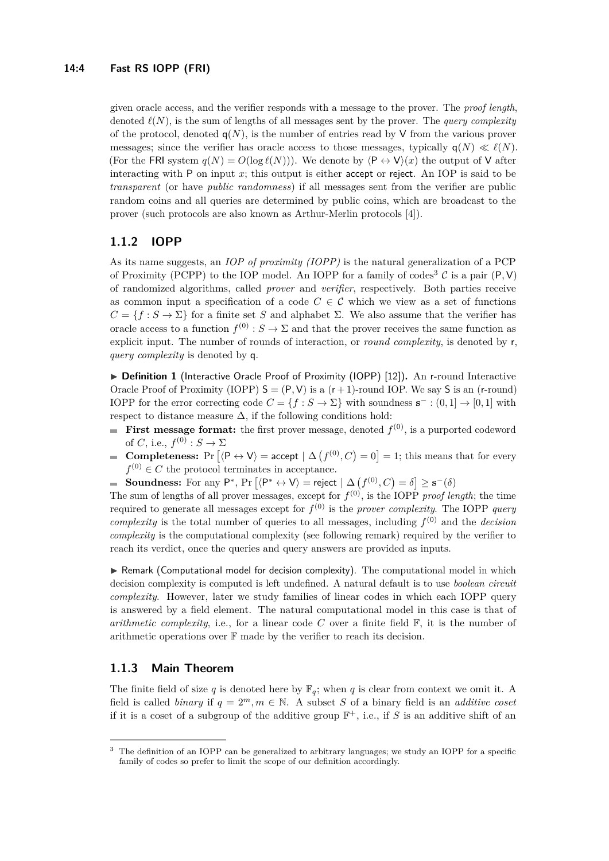given oracle access, and the verifier responds with a message to the prover. The *proof length*, denoted  $\ell(N)$ , is the sum of lengths of all messages sent by the prover. The *query complexity* of the protocol, denoted  $q(N)$ , is the number of entries read by V from the various prover messages; since the verifier has oracle access to those messages, typically  $q(N) \ll l(N)$ . (For the FRI system  $q(N) = O(\log \ell(N))$ ). We denote by  $\langle P \leftrightarrow V \rangle(x)$  the output of V after interacting with P on input *x*; this output is either accept or reject. An IOP is said to be *transparent* (or have *public randomness*) if all messages sent from the verifier are public random coins and all queries are determined by public coins, which are broadcast to the prover (such protocols are also known as Arthur-Merlin protocols [\[4\]](#page-12-6)).

## **1.1.2 IOPP**

As its name suggests, an *IOP of proximity (IOPP)* is the natural generalization of a PCP of Proximity (PCPP) to the IOP model. An IOPP for a family of codes<sup>[3](#page-3-0)</sup> C is a pair  $(P, V)$ of randomized algorithms, called *prover* and *verifier*, respectively. Both parties receive as common input a specification of a code  $C \in \mathcal{C}$  which we view as a set of functions  $C = \{f : S \to \Sigma\}$  for a finite set *S* and alphabet  $\Sigma$ . We also assume that the verifier has oracle access to a function  $f^{(0)}$ :  $S \to \Sigma$  and that the prover receives the same function as explicit input. The number of rounds of interaction, or *round complexity*, is denoted by r, *query complexity* is denoted by q.

▶ Definition 1 (Interactive Oracle Proof of Proximity (IOPP) [\[12\]](#page-13-6)). An r-round Interactive Oracle Proof of Proximity (IOPP)  $S = (P, V)$  is a  $(r + 1)$ -round IOP. We say S is an (r-round) IOPP for the error correcting code  $C = \{f : S \to \Sigma\}$  with soundness  $\mathbf{s}^- : (0,1] \to [0,1]$  with respect to distance measure  $\Delta$ , if the following conditions hold:

- **First message format:** the first prover message, denoted  $f^{(0)}$ , is a purported codeword of *C*, i.e.,  $f^{(0)} : S \to \Sigma$
- **Completeness:** Pr  $[\langle P \leftrightarrow V \rangle =$  accept  $| \Delta(f^{(0)}, C) = 0] = 1$ ; this means that for every  $f^{(0)} \in C$  the protocol terminates in acceptance.
- **Soundness:** For any P<sup>\*</sup>, Pr  $[\langle P^* \leftrightarrow V \rangle]$  = reject  $| \Delta (f^{(0)}, C) = \delta | \geq s^-(\delta)$ m.

The sum of lengths of all prover messages, except for  $f^{(0)}$ , is the IOPP *proof length*; the time required to generate all messages except for  $f^{(0)}$  is the *prover complexity*. The IOPP *query complexity* is the total number of queries to all messages, including  $f^{(0)}$  and the *decision complexity* is the computational complexity (see following remark) required by the verifier to reach its verdict, once the queries and query answers are provided as inputs.

 $\triangleright$  Remark (Computational model for decision complexity). The computational model in which decision complexity is computed is left undefined. A natural default is to use *boolean circuit complexity*. However, later we study families of linear codes in which each IOPP query is answered by a field element. The natural computational model in this case is that of *arithmetic complexity*, i.e., for a linear code  $C$  over a finite field  $\mathbb{F}$ , it is the number of arithmetic operations over F made by the verifier to reach its decision.

## **1.1.3 Main Theorem**

The finite field of size *q* is denoted here by  $\mathbb{F}_q$ ; when *q* is clear from context we omit it. A field is called *binary* if  $q = 2^m, m \in \mathbb{N}$ . A subset *S* of a binary field is an *additive coset* if it is a coset of a subgroup of the additive group  $\mathbb{F}^+$ , i.e., if S is an additive shift of an

<span id="page-3-0"></span><sup>&</sup>lt;sup>3</sup> The definition of an IOPP can be generalized to arbitrary languages; we study an IOPP for a specific family of codes so prefer to limit the scope of our definition accordingly.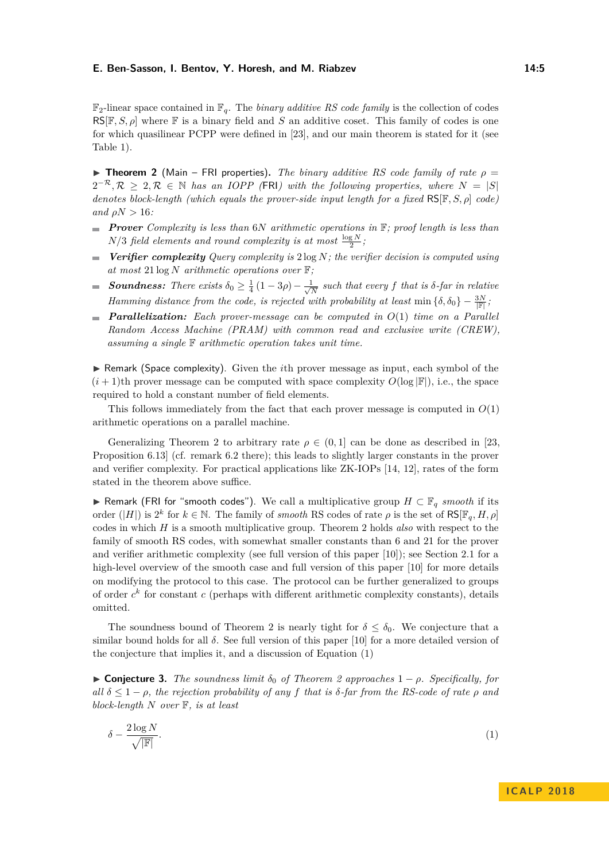$\mathbb{F}_2$ -linear space contained in  $\mathbb{F}_q$ . The *binary additive RS code family* is the collection of codes RS[F*, S, ρ*] where F is a binary field and *S* an additive coset. This family of codes is one for which quasilinear PCPP were defined in [\[23\]](#page-13-2), and our main theorem is stated for it (see Table [1\)](#page-2-0).

<span id="page-4-0"></span>**Theorem 2** (Main – FRI properties). *The binary additive RS code family of rate*  $\rho =$  $2^{-\mathcal{R}}, \mathcal{R} \geq 2, \mathcal{R} \in \mathbb{N}$  *has an IOPP* (FRI) with the following properties, where  $N = |S|$ *denotes block-length (which equals the prover-side input length for a fixed* RS[F*, S, ρ*] *code) and*  $\rho N > 16$ *:* 

- *Prover Complexity is less than* 6*N arithmetic operations in* F*; proof length is less than*  $N/3$  *field elements and round complexity is at most*  $\frac{\log N}{2}$ *;*
- *Verifier complexity Query complexity is* 2 log *N; the verifier decision is computed using*  $\sim$ *at most* 21 log *N arithmetic operations over* F*;*
- **Soundness:** There exists  $\delta_0 \geq \frac{1}{4}(1-3\rho) \frac{1}{\sqrt{2}}$  $\frac{N}{N}$  such that every f that is  $\delta$ -far in relative  $\equiv$ *Hamming distance from the code, is rejected with probability at least* min  $\{\delta, \delta_0\} - \frac{3N}{|\mathbb{F}|}$ ;
- *Parallelization: Each prover-message can be computed in O*(1) *time on a Parallel Random Access Machine (PRAM) with common read and exclusive write (CREW), assuming a single* F *arithmetic operation takes unit time.*

► Remark (Space complexity). Given the *i*th prover message as input, each symbol of the  $(i+1)$ th prover message can be computed with space complexity  $O(\log |F|)$ , i.e., the space required to hold a constant number of field elements.

This follows immediately from the fact that each prover message is computed in *O*(1) arithmetic operations on a parallel machine.

Generalizing Theorem [2](#page-4-0) to arbitrary rate  $\rho \in (0,1]$  can be done as described in [\[23,](#page-13-2) Proposition 6.13] (cf. remark 6.2 there); this leads to slightly larger constants in the prover and verifier complexity. For practical applications like ZK-IOPs [\[14,](#page-13-8) [12\]](#page-13-6), rates of the form stated in the theorem above suffice.

I Remark (FRI for "smooth codes"). We call a multiplicative group *H* ⊂ F*<sup>q</sup> smooth* if its order  $(|H|)$  is  $2^k$  for  $k \in \mathbb{N}$ . The family of *smooth* RS codes of rate  $\rho$  is the set of RS[ $\mathbb{F}_q$ *, H,*  $\rho$ ] codes in which *H* is a smooth multiplicative group. Theorem [2](#page-4-0) holds *also* with respect to the family of smooth RS codes, with somewhat smaller constants than 6 and 21 for the prover and verifier arithmetic complexity (see full version of this paper [\[10\]](#page-13-0)); see Section [2.1](#page-9-0) for a high-level overview of the smooth case and full version of this paper [\[10\]](#page-13-0) for more details on modifying the protocol to this case. The protocol can be further generalized to groups of order  $c^k$  for constant  $c$  (perhaps with different arithmetic complexity constants), details omitted.

The soundness bound of Theorem [2](#page-4-0) is nearly tight for  $\delta \leq \delta_0$ . We conjecture that a similar bound holds for all  $\delta$ . See full version of this paper [\[10\]](#page-13-0) for a more detailed version of the conjecture that implies it, and a discussion of Equation [\(1\)](#page-4-1)

<span id="page-4-2"></span> $\triangleright$  **Conjecture 3.** *The soundness limit*  $\delta_0$  *of Theorem [2](#page-4-0) approaches* 1 − *ρ. Specifically, for all*  $\delta \leq 1 - \rho$ , the rejection probability of any *f* that is  $\delta$ -far from the RS-code of rate  $\rho$  and *block-length N over* F*, is at least*

<span id="page-4-1"></span>
$$
\delta - \frac{2\log N}{\sqrt{|F|}}.\tag{1}
$$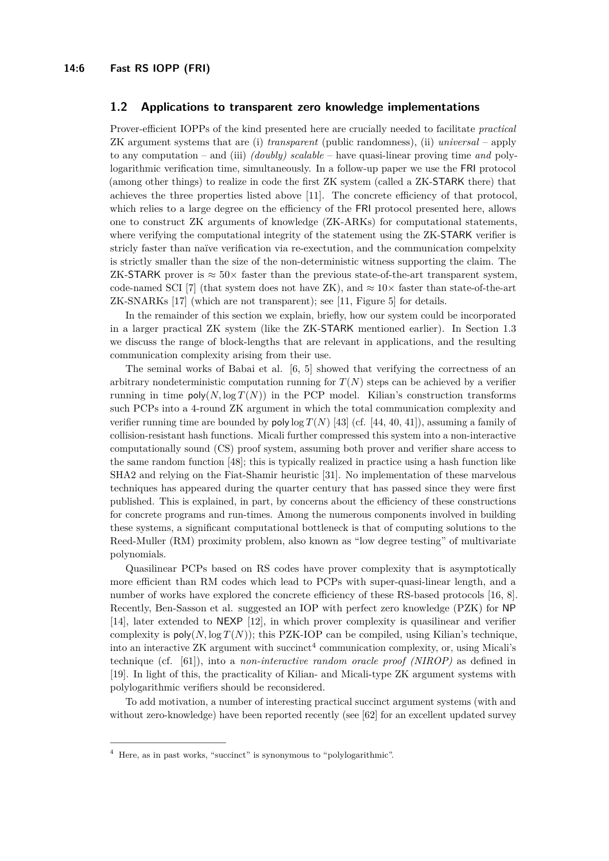#### <span id="page-5-1"></span>**1.2 Applications to transparent zero knowledge implementations**

Prover-efficient IOPPs of the kind presented here are crucially needed to facilitate *practical* ZK argument systems that are (i) *transparent* (public randomness), (ii) *universal* – apply to any computation – and (iii) *(doubly) scalable* – have quasi-linear proving time *and* polylogarithmic verification time, simultaneously. In a follow-up paper we use the FRI protocol (among other things) to realize in code the first ZK system (called a ZK-STARK there) that achieves the three properties listed above [\[11\]](#page-13-9). The concrete efficiency of that protocol, which relies to a large degree on the efficiency of the FRI protocol presented here, allows one to construct ZK arguments of knowledge (ZK-ARKs) for computational statements, where verifying the computational integrity of the statement using the ZK-STARK verifier is stricly faster than naïve verification via re-exectution, and the communication compelxity is strictly smaller than the size of the non-deterministic witness supporting the claim. The ZK-STARK prover is  $\approx 50 \times$  faster than the previous state-of-the-art transparent system, code-named SCI [\[7\]](#page-12-7) (that system does not have ZK), and  $\approx 10\times$  faster than state-of-the-art ZK-SNARKs [\[17\]](#page-13-10) (which are not transparent); see [\[11,](#page-13-9) Figure 5] for details.

In the remainder of this section we explain, briefly, how our system could be incorporated in a larger practical ZK system (like the ZK-STARK mentioned earlier). In Section [1.3](#page-6-0) we discuss the range of block-lengths that are relevant in applications, and the resulting communication complexity arising from their use.

The seminal works of Babai et al. [\[6,](#page-12-3) [5\]](#page-12-2) showed that verifying the correctness of an arbitrary nondeterministic computation running for  $T(N)$  steps can be achieved by a verifier running in time  $poly(N, \log T(N))$  in the PCP model. Kilian's construction transforms such PCPs into a 4-round ZK argument in which the total communication complexity and verifier running time are bounded by poly  $\log T(N)$  [\[43\]](#page-15-4) (cf. [\[44,](#page-15-5) [40,](#page-14-5) [41\]](#page-14-6)), assuming a family of collision-resistant hash functions. Micali further compressed this system into a non-interactive computationally sound (CS) proof system, assuming both prover and verifier share access to the same random function [\[48\]](#page-15-6); this is typically realized in practice using a hash function like SHA2 and relying on the Fiat-Shamir heuristic [\[31\]](#page-14-7). No implementation of these marvelous techniques has appeared during the quarter century that has passed since they were first published. This is explained, in part, by concerns about the efficiency of these constructions for concrete programs and run-times. Among the numerous components involved in building these systems, a significant computational bottleneck is that of computing solutions to the Reed-Muller (RM) proximity problem, also known as "low degree testing" of multivariate polynomials.

Quasilinear PCPs based on RS codes have prover complexity that is asymptotically more efficient than RM codes which lead to PCPs with super-quasi-linear length, and a number of works have explored the concrete efficiency of these RS-based protocols [\[16,](#page-13-3) [8\]](#page-12-5). Recently, Ben-Sasson et al. suggested an IOP with perfect zero knowledge (PZK) for NP [\[14\]](#page-13-8), later extended to NEXP [\[12\]](#page-13-6), in which prover complexity is quasilinear and verifier complexity is  $\text{poly}(N, \log T(N))$ ; this PZK-IOP can be compiled, using Kilian's technique, into an interactive  $ZK$  argument with succinct<sup>[4](#page-5-0)</sup> communication complexity, or, using Micali's technique (cf. [\[61\]](#page-15-7)), into a *non-interactive random oracle proof (NIROP)* as defined in [\[19\]](#page-13-7). In light of this, the practicality of Kilian- and Micali-type ZK argument systems with polylogarithmic verifiers should be reconsidered.

To add motivation, a number of interesting practical succinct argument systems (with and without zero-knowledge) have been reported recently (see [\[62\]](#page-16-1) for an excellent updated survey

<span id="page-5-0"></span><sup>4</sup> Here, as in past works, "succinct" is synonymous to "polylogarithmic".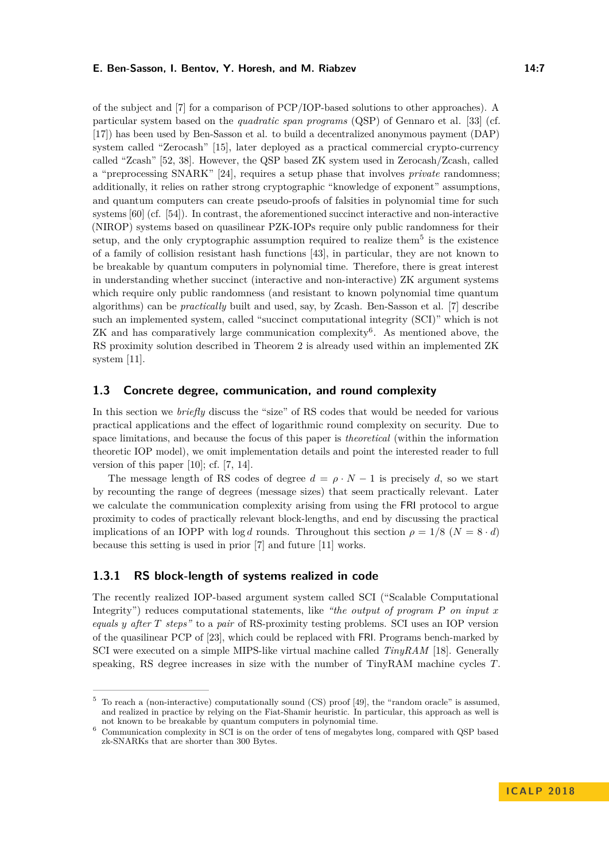of the subject and [\[7\]](#page-12-7) for a comparison of PCP/IOP-based solutions to other approaches). A particular system based on the *quadratic span programs* (QSP) of Gennaro et al. [\[33\]](#page-14-8) (cf. [\[17\]](#page-13-10)) has been used by Ben-Sasson et al. to build a decentralized anonymous payment (DAP) system called "Zerocash" [\[15\]](#page-13-11), later deployed as a practical commercial crypto-currency called "Zcash" [\[52,](#page-15-8) [38\]](#page-14-9). However, the QSP based ZK system used in Zerocash/Zcash, called a "preprocessing SNARK" [\[24\]](#page-13-12), requires a setup phase that involves *private* randomness; additionally, it relies on rather strong cryptographic "knowledge of exponent" assumptions, and quantum computers can create pseudo-proofs of falsities in polynomial time for such systems [\[60\]](#page-15-9) (cf. [\[54\]](#page-15-10)). In contrast, the aforementioned succinct interactive and non-interactive (NIROP) systems based on quasilinear PZK-IOPs require only public randomness for their setup, and the only cryptographic assumption required to realize them<sup>[5](#page-6-1)</sup> is the existence of a family of collision resistant hash functions [\[43\]](#page-15-4), in particular, they are not known to be breakable by quantum computers in polynomial time. Therefore, there is great interest in understanding whether succinct (interactive and non-interactive) ZK argument systems which require only public randomness (and resistant to known polynomial time quantum algorithms) can be *practically* built and used, say, by Zcash. Ben-Sasson et al. [\[7\]](#page-12-7) describe such an implemented system, called "succinct computational integrity (SCI)" which is not ZK and has comparatively large communication complexity<sup>[6](#page-6-2)</sup>. As mentioned above, the RS proximity solution described in Theorem [2](#page-4-0) is already used within an implemented ZK system [\[11\]](#page-13-9).

#### <span id="page-6-0"></span>**1.3 Concrete degree, communication, and round complexity**

In this section we *briefly* discuss the "size" of RS codes that would be needed for various practical applications and the effect of logarithmic round complexity on security. Due to space limitations, and because the focus of this paper is *theoretical* (within the information theoretic IOP model), we omit implementation details and point the interested reader to full version of this paper [\[10\]](#page-13-0); cf. [\[7,](#page-12-7) [14\]](#page-13-8).

The message length of RS codes of degree  $d = \rho \cdot N - 1$  is precisely d, so we start by recounting the range of degrees (message sizes) that seem practically relevant. Later we calculate the communication complexity arising from using the FRI protocol to argue proximity to codes of practically relevant block-lengths, and end by discussing the practical implications of an IOPP with log *d* rounds. Throughout this section  $\rho = 1/8$  ( $N = 8 \cdot d$ ) because this setting is used in prior [\[7\]](#page-12-7) and future [\[11\]](#page-13-9) works.

## **1.3.1 RS block-length of systems realized in code**

The recently realized IOP-based argument system called SCI ("Scalable Computational Integrity") reduces computational statements, like *"the output of program P on input x equals y after T steps"* to a *pair* of RS-proximity testing problems. SCI uses an IOP version of the quasilinear PCP of [\[23\]](#page-13-2), which could be replaced with FRI. Programs bench-marked by SCI were executed on a simple MIPS-like virtual machine called *TinyRAM* [\[18\]](#page-13-13). Generally speaking, RS degree increases in size with the number of TinyRAM machine cycles *T*.

<span id="page-6-1"></span><sup>&</sup>lt;sup>5</sup> To reach a (non-interactive) computationally sound (CS) proof [\[49\]](#page-15-11), the "random oracle" is assumed, and realized in practice by relying on the Fiat-Shamir heuristic. In particular, this approach as well is not known to be breakable by quantum computers in polynomial time.

<span id="page-6-2"></span><sup>6</sup> Communication complexity in SCI is on the order of tens of megabytes long, compared with QSP based zk-SNARKs that are shorter than 300 Bytes.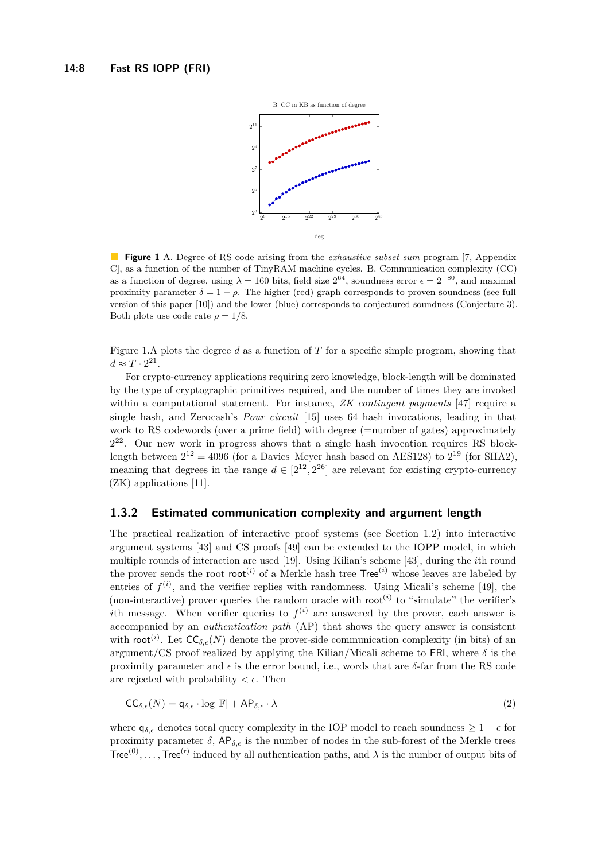<span id="page-7-0"></span>

**Figure 1** A. Degree of RS code arising from the *exhaustive subset sum* program [\[7,](#page-12-7) Appendix C], as a function of the number of TinyRAM machine cycles. B. Communication complexity (CC) as a function of degree, using  $\lambda = 160$  bits, field size  $2^{64}$ , soundness error  $\epsilon = 2^{-80}$ , and maximal proximity parameter  $\delta = 1 - \rho$ . The higher (red) graph corresponds to proven soundness (see full version of this paper [\[10\]](#page-13-0)) and the lower (blue) corresponds to conjectured soundness (Conjecture [3\)](#page-4-2). Both plots use code rate  $\rho = 1/8$ .

Figure [1.](#page-7-0)A plots the degree *d* as a function of *T* for a specific simple program, showing that  $d \approx T \cdot 2^{21}$ .

For crypto-currency applications requiring zero knowledge, block-length will be dominated by the type of cryptographic primitives required, and the number of times they are invoked within a computational statement. For instance, *ZK contingent payments* [\[47\]](#page-15-12) require a single hash, and Zerocash's *Pour circuit* [\[15\]](#page-13-11) uses 64 hash invocations, leading in that work to RS codewords (over a prime field) with degree (=number of gates) approximately 2 <sup>22</sup>. Our new work in progress shows that a single hash invocation requires RS blocklength between  $2^{12} = 4096$  (for a Davies–Meyer hash based on AES128) to  $2^{19}$  (for SHA2), meaning that degrees in the range  $d \in [2^{12}, 2^{26}]$  are relevant for existing crypto-currency (ZK) applications [\[11\]](#page-13-9).

#### **1.3.2 Estimated communication complexity and argument length**

The practical realization of interactive proof systems (see Section [1.2\)](#page-5-1) into interactive argument systems [\[43\]](#page-15-4) and CS proofs [\[49\]](#page-15-11) can be extended to the IOPP model, in which multiple rounds of interaction are used [\[19\]](#page-13-7). Using Kilian's scheme [\[43\]](#page-15-4), during the *i*th round the prover sends the root root<sup>(*i*)</sup> of a Merkle hash tree Tree<sup>(*i*)</sup> whose leaves are labeled by entries of  $f^{(i)}$ , and the verifier replies with randomness. Using Micali's scheme [\[49\]](#page-15-11), the (non-interactive) prover queries the random oracle with  $\text{root}^{(i)}$  to "simulate" the verifier's *i*th message. When verifier queries to  $f^{(i)}$  are answered by the prover, each answer is accompanied by an *authentication path* (AP) that shows the query answer is consistent with root<sup>(*i*</sup>). Let  $\mathsf{CC}_{\delta,\epsilon}(N)$  denote the prover-side communication complexity (in bits) of an argument/CS proof realized by applying the Kilian/Micali scheme to FRI, where  $\delta$  is the proximity parameter and  $\epsilon$  is the error bound, i.e., words that are  $\delta$ -far from the RS code are rejected with probability  $\lt \epsilon$ . Then

$$
CC_{\delta,\epsilon}(N) = \mathsf{q}_{\delta,\epsilon} \cdot \log |\mathbb{F}| + \mathsf{AP}_{\delta,\epsilon} \cdot \lambda \tag{2}
$$

where  $q_{\delta,\epsilon}$  denotes total query complexity in the IOP model to reach soundness  $\geq 1 - \epsilon$  for proximity parameter  $\delta$ ,  $AP_{\delta,\epsilon}$  is the number of nodes in the sub-forest of the Merkle trees Tree<sup>(0)</sup>,..., Tree<sup>(r)</sup> induced by all authentication paths, and  $\lambda$  is the number of output bits of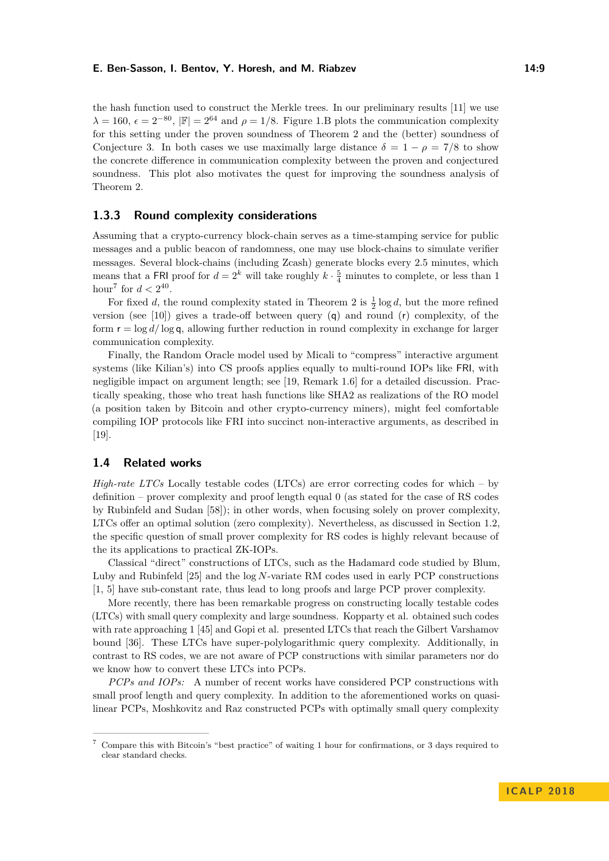the hash function used to construct the Merkle trees. In our preliminary results [\[11\]](#page-13-9) we use  $\lambda = 160, \epsilon = 2^{-80}, |\mathbb{F}| = 2^{64}$  and  $\rho = 1/8$ . Figure [1.](#page-7-0)B plots the communication complexity for this setting under the proven soundness of Theorem [2](#page-4-0) and the (better) soundness of Conjecture [3.](#page-4-2) In both cases we use maximally large distance  $\delta = 1 - \rho = 7/8$  to show the concrete difference in communication complexity between the proven and conjectured soundness. This plot also motivates the quest for improving the soundness analysis of Theorem [2.](#page-4-0)

## **1.3.3 Round complexity considerations**

Assuming that a crypto-currency block-chain serves as a time-stamping service for public messages and a public beacon of randomness, one may use block-chains to simulate verifier messages. Several block-chains (including Zcash) generate blocks every 2.5 minutes, which means that a FRI proof for  $d = 2^k$  will take roughly  $k \cdot \frac{5}{4}$  minutes to complete, or less than 1 hour<sup>[7](#page-8-0)</sup> for  $d < 2^{40}$ .

For fixed *d*, the round complexity stated in Theorem [2](#page-4-0) is  $\frac{1}{2} \log d$ , but the more refined version (see [\[10\]](#page-13-0)) gives a trade-off between query  $(q)$  and round  $(r)$  complexity, of the form  $r = \log d / \log q$ , allowing further reduction in round complexity in exchange for larger communication complexity.

Finally, the Random Oracle model used by Micali to "compress" interactive argument systems (like Kilian's) into CS proofs applies equally to multi-round IOPs like FRI, with negligible impact on argument length; see [\[19,](#page-13-7) Remark 1.6] for a detailed discussion. Practically speaking, those who treat hash functions like SHA2 as realizations of the RO model (a position taken by Bitcoin and other crypto-currency miners), might feel comfortable compiling IOP protocols like FRI into succinct non-interactive arguments, as described in [\[19\]](#page-13-7).

## **1.4 Related works**

*High-rate LTCs* Locally testable codes (LTCs) are error correcting codes for which – by definition – prover complexity and proof length equal 0 (as stated for the case of RS codes by Rubinfeld and Sudan [\[58\]](#page-15-1)); in other words, when focusing solely on prover complexity, LTCs offer an optimal solution (zero complexity). Nevertheless, as discussed in Section [1.2,](#page-5-1) the specific question of small prover complexity for RS codes is highly relevant because of the its applications to practical ZK-IOPs.

Classical "direct" constructions of LTCs, such as the Hadamard code studied by Blum, Luby and Rubinfeld [\[25\]](#page-13-14) and the log *N*-variate RM codes used in early PCP constructions [\[1,](#page-12-8) [5\]](#page-12-2) have sub-constant rate, thus lead to long proofs and large PCP prover complexity.

More recently, there has been remarkable progress on constructing locally testable codes (LTCs) with small query complexity and large soundness. Kopparty et al. obtained such codes with rate approaching 1 [\[45\]](#page-15-13) and Gopi et al. presented LTCs that reach the Gilbert Varshamov bound [\[36\]](#page-14-10). These LTCs have super-polylogarithmic query complexity. Additionally, in contrast to RS codes, we are not aware of PCP constructions with similar parameters nor do we know how to convert these LTCs into PCPs.

*PCPs and IOPs:* A number of recent works have considered PCP constructions with small proof length and query complexity. In addition to the aforementioned works on quasilinear PCPs, Moshkovitz and Raz constructed PCPs with optimally small query complexity

<span id="page-8-0"></span><sup>7</sup> Compare this with Bitcoin's "best practice" of waiting 1 hour for confirmations, or 3 days required to clear standard checks.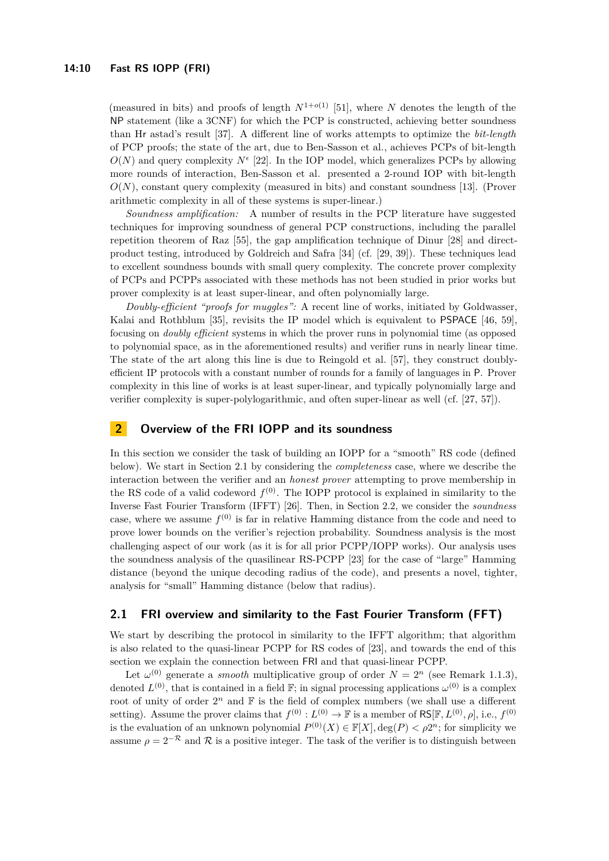(measured in bits) and proofs of length  $N^{1+o(1)}$  [\[51\]](#page-15-14), where *N* denotes the length of the NP statement (like a 3CNF) for which the PCP is constructed, achieving better soundness than Hr astad's result [\[37\]](#page-14-11). A different line of works attempts to optimize the *bit-length* of PCP proofs; the state of the art, due to Ben-Sasson et al., achieves PCPs of bit-length  $O(N)$  and query complexity  $N^{\epsilon}$  [\[22\]](#page-13-15). In the IOP model, which generalizes PCPs by allowing more rounds of interaction, Ben-Sasson et al. presented a 2-round IOP with bit-length  $O(N)$ , constant query complexity (measured in bits) and constant soundness [\[13\]](#page-13-5). (Prover arithmetic complexity in all of these systems is super-linear.)

*Soundness amplification:* A number of results in the PCP literature have suggested techniques for improving soundness of general PCP constructions, including the parallel repetition theorem of Raz [\[55\]](#page-15-15), the gap amplification technique of Dinur [\[28\]](#page-14-2) and directproduct testing, introduced by Goldreich and Safra [\[34\]](#page-14-12) (cf. [\[29,](#page-14-13) [39\]](#page-14-14)). These techniques lead to excellent soundness bounds with small query complexity. The concrete prover complexity of PCPs and PCPPs associated with these methods has not been studied in prior works but prover complexity is at least super-linear, and often polynomially large.

*Doubly-efficient "proofs for muggles":* A recent line of works, initiated by Goldwasser, Kalai and Rothblum [\[35\]](#page-14-15), revisits the IP model which is equivalent to PSPACE [\[46,](#page-15-16) [59\]](#page-15-17), focusing on *doubly efficient* systems in which the prover runs in polynomial time (as opposed to polynomial space, as in the aforementioned results) and verifier runs in nearly linear time. The state of the art along this line is due to Reingold et al. [\[57\]](#page-15-3), they construct doublyefficient IP protocols with a constant number of rounds for a family of languages in P. Prover complexity in this line of works is at least super-linear, and typically polynomially large and verifier complexity is super-polylogarithmic, and often super-linear as well (cf. [\[27,](#page-14-16) [57\]](#page-15-3)).

## **2 Overview of the FRI IOPP and its soundness**

In this section we consider the task of building an IOPP for a "smooth" RS code (defined below). We start in Section [2.1](#page-9-0) by considering the *completeness* case, where we describe the interaction between the verifier and an *honest prover* attempting to prove membership in the RS code of a valid codeword  $f^{(0)}$ . The IOPP protocol is explained in similarity to the Inverse Fast Fourier Transform (IFFT) [\[26\]](#page-14-4). Then, in Section [2.2,](#page-11-0) we consider the *soundness* case, where we assume  $f^{(0)}$  is far in relative Hamming distance from the code and need to prove lower bounds on the verifier's rejection probability. Soundness analysis is the most challenging aspect of our work (as it is for all prior PCPP/IOPP works). Our analysis uses the soundness analysis of the quasilinear RS-PCPP [\[23\]](#page-13-2) for the case of "large" Hamming distance (beyond the unique decoding radius of the code), and presents a novel, tighter, analysis for "small" Hamming distance (below that radius).

## <span id="page-9-0"></span>**2.1 FRI overview and similarity to the Fast Fourier Transform (FFT)**

We start by describing the protocol in similarity to the IFFT algorithm; that algorithm is also related to the quasi-linear PCPP for RS codes of [\[23\]](#page-13-2), and towards the end of this section we explain the connection between FRI and that quasi-linear PCPP.

Let  $\omega^{(0)}$  generate a *smooth* multiplicative group of order  $N = 2^n$  (see Remark [1.1.3\)](#page-4-0), denoted  $L^{(0)}$ , that is contained in a field  $\mathbb{F}$ ; in signal processing applications  $\omega^{(0)}$  is a complex root of unity of order  $2^n$  and  $\mathbb F$  is the field of complex numbers (we shall use a different setting). Assume the prover claims that  $f^{(0)} : L^{(0)} \to \mathbb{F}$  is a member of  $\mathsf{RS}[\mathbb{F}, L^{(0)}, \rho],$  i.e.,  $f^{(0)}$ is the evaluation of an unknown polynomial  $P^{(0)}(X) \in \mathbb{F}[X]$ ,  $\deg(P) < \rho 2^n$ ; for simplicity we assume  $\rho = 2^{-\mathcal{R}}$  and  $\mathcal R$  is a positive integer. The task of the verifier is to distinguish between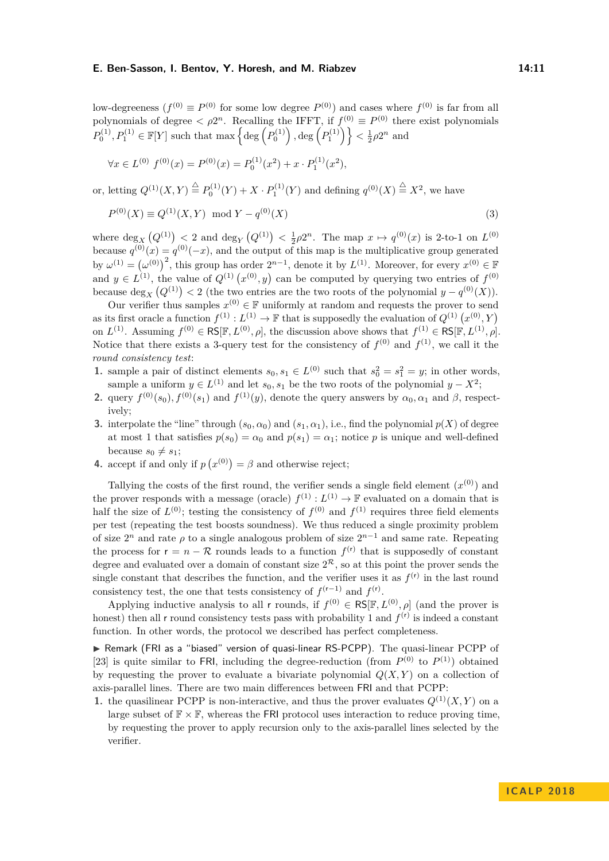low-degreeness  $(f^{(0)} \equiv P^{(0)}$  for some low degree  $P^{(0)}$ ) and cases where  $f^{(0)}$  is far from all polynomials of degree  $\langle \rho 2^n$ . Recalling the IFFT, if  $f^{(0)} \equiv P^{(0)}$  there exist polynomials  $P_0^{(1)}, P_1^{(1)} \in \mathbb{F}[Y]$  such that max  $\left\{\deg\left(P_0^{(1)}\right), \deg\left(P_1^{(1)}\right)\right\} < \frac{1}{2}\rho 2^n$  and

$$
\forall x \in L^{(0)} \ f^{(0)}(x) = P^{(0)}(x) = P_0^{(1)}(x^2) + x \cdot P_1^{(1)}(x^2),
$$

or, letting  $Q^{(1)}(X,Y) \stackrel{\triangle}{=} P_0^{(1)}(Y) + X \cdot P_1^{(1)}(Y)$  and defining  $q^{(0)}(X) \stackrel{\triangle}{=} X^2$ , we have

$$
P^{(0)}(X) \equiv Q^{(1)}(X, Y) \mod Y - q^{(0)}(X)
$$
\n(3)

where  $\deg_X(Q^{(1)}) < 2$  and  $\deg_Y(Q^{(1)}) < \frac{1}{2}\rho 2^n$ . The map  $x \mapsto q^{(0)}(x)$  is 2-to-1 on  $L^{(0)}$ because  $q^{(0)}(x) = q^{(0)}(-x)$ , and the output of this map is the multiplicative group generated by  $\omega^{(1)} = (\omega^{(0)})^2$ , this group has order  $2^{n-1}$ , denote it by  $L^{(1)}$ . Moreover, for every  $x^{(0)} \in \mathbb{F}$ and  $y \in L^{(1)}$ , the value of  $Q^{(1)}(x^{(0)}, y)$  can be computed by querying two entries of  $f^{(0)}$ because  $\deg_X(Q^{(1)}) < 2$  (the two entries are the two roots of the polynomial  $y - q^{(0)}(X)$ ).

Our verifier thus samples  $x^{(0)} \in \mathbb{F}$  uniformly at random and requests the prover to send as its first oracle a function  $f^{(1)} : L^{(1)} \to \mathbb{F}$  that is supposedly the evaluation of  $Q^{(1)}(x^{(0)}, Y)$ on  $L^{(1)}$ . Assuming  $f^{(0)} \in \text{RS}[\mathbb{F}, L^{(0)}, \rho]$ , the discussion above shows that  $f^{(1)} \in \text{RS}[\mathbb{F}, L^{(1)}, \rho]$ . Notice that there exists a 3-query test for the consistency of  $f^{(0)}$  and  $f^{(1)}$ , we call it the *round consistency test*:

- **1.** sample a pair of distinct elements  $s_0, s_1 \in L^{(0)}$  such that  $s_0^2 = s_1^2 = y$ ; in other words, sample a uniform  $y \in L^{(1)}$  and let  $s_0, s_1$  be the two roots of the polynomial  $y - X^2$ ;
- **2.** query  $f^{(0)}(s_0)$ ,  $f^{(0)}(s_1)$  and  $f^{(1)}(y)$ , denote the query answers by  $\alpha_0, \alpha_1$  and  $\beta$ , respectively;
- **3.** interpolate the "line" through  $(s_0, \alpha_0)$  and  $(s_1, \alpha_1)$ , i.e., find the polynomial  $p(X)$  of degree at most 1 that satisfies  $p(s_0) = \alpha_0$  and  $p(s_1) = \alpha_1$ ; notice *p* is unique and well-defined because  $s_0 \neq s_1$ ;
- **4.** accept if and only if  $p(x^{(0)}) = \beta$  and otherwise reject;

Tallying the costs of the first round, the verifier sends a single field element  $(x^{(0)})$  and the prover responds with a message (oracle)  $f^{(1)} : L^{(1)} \to \mathbb{F}$  evaluated on a domain that is half the size of  $L^{(0)}$ ; testing the consistency of  $f^{(0)}$  and  $f^{(1)}$  requires three field elements per test (repeating the test boosts soundness). We thus reduced a single proximity problem of size  $2^n$  and rate  $\rho$  to a single analogous problem of size  $2^{n-1}$  and same rate. Repeating the process for  $r = n - \mathcal{R}$  rounds leads to a function  $f^{(r)}$  that is supposedly of constant degree and evaluated over a domain of constant size  $2^{\mathcal{R}}$ , so at this point the prover sends the single constant that describes the function, and the verifier uses it as  $f^{(r)}$  in the last round consistency test, the one that tests consistency of  $f^{(r-1)}$  and  $f^{(r)}$ .

Applying inductive analysis to all r rounds, if  $f^{(0)} \in \text{RS}[\mathbb{F}, L^{(0)}, \rho]$  (and the prover is honest) then all r round consistency tests pass with probability 1 and  $f<sup>(r)</sup>$  is indeed a constant function. In other words, the protocol we described has perfect completeness.

▶ Remark (FRI as a "biased" version of quasi-linear RS-PCPP). The quasi-linear PCPP of [\[23\]](#page-13-2) is quite similar to FRI, including the degree-reduction (from  $P^{(0)}$  to  $P^{(1)}$ ) obtained by requesting the prover to evaluate a bivariate polynomial  $Q(X, Y)$  on a collection of axis-parallel lines. There are two main differences between FRI and that PCPP:

**1.** the quasilinear PCPP is non-interactive, and thus the prover evaluates  $Q^{(1)}(X, Y)$  on a large subset of  $\mathbb{F} \times \mathbb{F}$ , whereas the FRI protocol uses interaction to reduce proving time, by requesting the prover to apply recursion only to the axis-parallel lines selected by the verifier.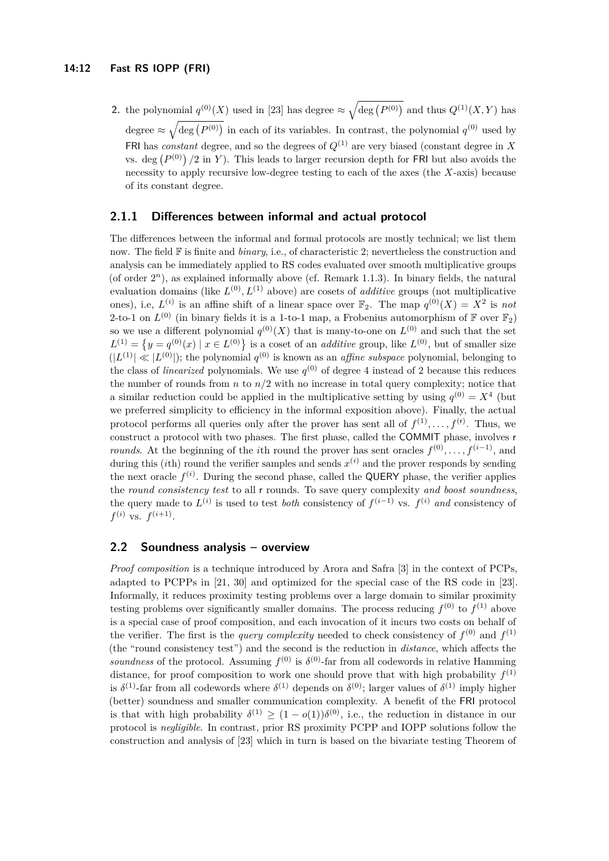**2.** the polynomial  $q^{(0)}(X)$  used in [\[23\]](#page-13-2) has degree  $\approx \sqrt{\deg(P^{(0)})}$  and thus  $Q^{(1)}(X, Y)$  has degree  $\approx \sqrt{\deg(P^{(0)})}$  in each of its variables. In contrast, the polynomial  $q^{(0)}$  used by FRI has *constant* degree, and so the degrees of  $Q^{(1)}$  are very biased (constant degree in X vs. deg  $(P^{(0)})$  /2 in *Y*). This leads to larger recursion depth for FRI but also avoids the necessity to apply recursive low-degree testing to each of the axes (the *X*-axis) because of its constant degree.

## **2.1.1 Differences between informal and actual protocol**

The differences between the informal and formal protocols are mostly technical; we list them now. The field  $\mathbb F$  is finite and *binary*, i.e., of characteristic 2; nevertheless the construction and analysis can be immediately applied to RS codes evaluated over smooth multiplicative groups (of order  $2^n$ ), as explained informally above (cf. Remark [1.1.3\)](#page-4-0). In binary fields, the natural evaluation domains (like  $L^{(0)}, L^{(1)}$  above) are cosets of *additive* groups (not multiplicative ones), i.e,  $L^{(i)}$  is an affine shift of a linear space over  $\mathbb{F}_2$ . The map  $q^{(0)}(X) = X^2$  is not 2-to-1 on  $L^{(0)}$  (in binary fields it is a 1-to-1 map, a Frobenius automorphism of  $\mathbb{F}$  over  $\mathbb{F}_2$ ) so we use a different polynomial  $q^{(0)}(X)$  that is many-to-one on  $L^{(0)}$  and such that the set  $L^{(1)} = \{y = q^{(0)}(x) \mid x \in L^{(0)}\}$  is a coset of an *additive* group, like  $L^{(0)}$ , but of smaller size  $(|L^{(1)}| \ll |L^{(0)}|)$ ; the polynomial  $q^{(0)}$  is known as an *affine subspace* polynomial, belonging to the class of *linearized* polynomials. We use  $q^{(0)}$  of degree 4 instead of 2 because this reduces the number of rounds from  $n$  to  $n/2$  with no increase in total query complexity; notice that a similar reduction could be applied in the multiplicative setting by using  $q^{(0)} = X^4$  (but we preferred simplicity to efficiency in the informal exposition above). Finally, the actual protocol performs all queries only after the prover has sent all of  $f^{(1)}, \ldots, f^{(r)}$ . Thus, we construct a protocol with two phases. The first phase, called the COMMIT phase, involves r *rounds.* At the beginning of the *i*th round the prover has sent oracles  $f^{(0)}, \ldots, f^{(i-1)}$ , and during this *(ith)* round the verifier samples and sends  $x^{(i)}$  and the prover responds by sending the next oracle  $f^{(i)}$ . During the second phase, called the QUERY phase, the verifier applies the *round consistency test* to all r rounds. To save query complexity *and boost soundness*, the query made to  $L^{(i)}$  is used to test *both* consistency of  $f^{(i-1)}$  vs.  $f^{(i)}$  *and* consistency of  $f^{(i)}$  vs.  $f^{(i+1)}$ .

## <span id="page-11-0"></span>**2.2 Soundness analysis – overview**

*Proof composition* is a technique introduced by Arora and Safra [\[3\]](#page-12-1) in the context of PCPs, adapted to PCPPs in [\[21,](#page-13-1) [30\]](#page-14-1) and optimized for the special case of the RS code in [\[23\]](#page-13-2). Informally, it reduces proximity testing problems over a large domain to similar proximity testing problems over significantly smaller domains. The process reducing  $f^{(0)}$  to  $f^{(1)}$  above is a special case of proof composition, and each invocation of it incurs two costs on behalf of the verifier. The first is the *query complexity* needed to check consistency of  $f^{(0)}$  and  $f^{(1)}$ (the "round consistency test") and the second is the reduction in *distance*, which affects the *soundness* of the protocol. Assuming  $f^{(0)}$  is  $\delta^{(0)}$ -far from all codewords in relative Hamming distance, for proof composition to work one should prove that with high probability  $f^{(1)}$ is  $\delta^{(1)}$ -far from all codewords where  $\delta^{(1)}$  depends on  $\delta^{(0)}$ ; larger values of  $\delta^{(1)}$  imply higher (better) soundness and smaller communication complexity. A benefit of the FRI protocol is that with high probability  $\delta^{(1)} \geq (1 - o(1))\delta^{(0)}$ , i.e., the reduction in distance in our protocol is *negligible*. In contrast, prior RS proximity PCPP and IOPP solutions follow the construction and analysis of [\[23\]](#page-13-2) which in turn is based on the bivariate testing Theorem of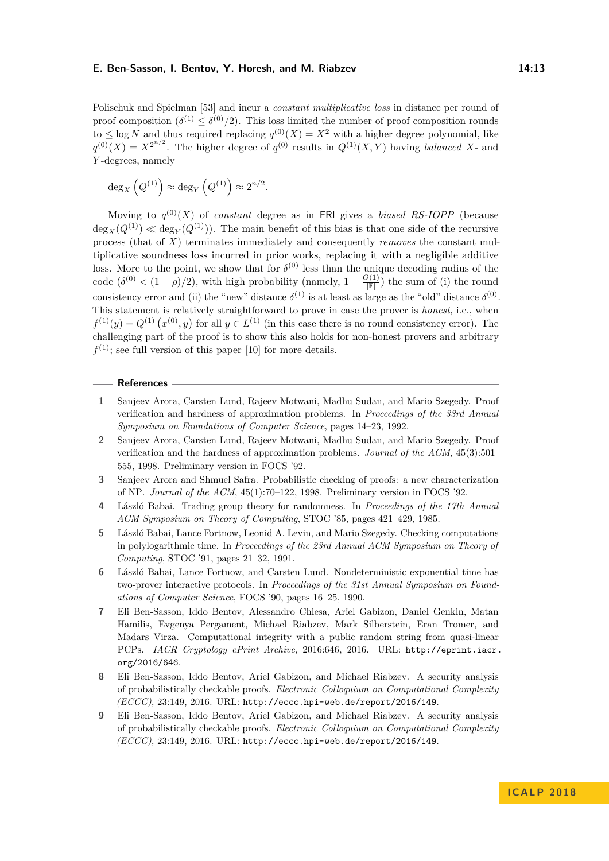Polischuk and Spielman [\[53\]](#page-15-18) and incur a *constant multiplicative loss* in distance per round of proof composition  $(\delta^{(1)} \leq \delta^{(0)}/2)$ . This loss limited the number of proof composition rounds to  $\leq$  log *N* and thus required replacing  $q^{(0)}(X) = X^2$  with a higher degree polynomial, like  $q^{(0)}(X) = X^{2^{n/2}}$ . The higher degree of  $q^{(0)}$  results in  $Q^{(1)}(X, Y)$  having *balanced* X- and *Y* -degrees, namely

$$
\deg_X\left(Q^{(1)}\right) \approx \deg_Y\left(Q^{(1)}\right) \approx 2^{n/2}.
$$

Moving to  $q^{(0)}(X)$  of *constant* degree as in FRI gives a *biased RS-IOPP* (because  $\deg_X(Q^{(1)}) \ll \deg_Y(Q^{(1)})$ ). The main benefit of this bias is that one side of the recursive process (that of *X*) terminates immediately and consequently *removes* the constant multiplicative soundness loss incurred in prior works, replacing it with a negligible additive loss. More to the point, we show that for  $\delta^{(0)}$  less than the unique decoding radius of the code  $(\delta^{(0)} < (1 - \rho)/2)$ , with high probability (namely,  $1 - \frac{O(1)}{|\mathbb{F}|}$ ) the sum of (i) the round consistency error and (ii) the "new" distance  $\delta^{(1)}$  is at least as large as the "old" distance  $\delta^{(0)}$ . This statement is relatively straightforward to prove in case the prover is *honest*, i.e., when  $f^{(1)}(y) = Q^{(1)}(x^{(0)}, y)$  for all  $y \in L^{(1)}$  (in this case there is no round consistency error). The challenging part of the proof is to show this also holds for non-honest provers and arbitrary  $f<sup>(1)</sup>$ ; see full version of this paper [\[10\]](#page-13-0) for more details.

#### **References**

- <span id="page-12-8"></span>**1** Sanjeev Arora, Carsten Lund, Rajeev Motwani, Madhu Sudan, and Mario Szegedy. Proof verification and hardness of approximation problems. In *Proceedings of the 33rd Annual Symposium on Foundations of Computer Science*, pages 14–23, 1992.
- <span id="page-12-0"></span>**2** Sanjeev Arora, Carsten Lund, Rajeev Motwani, Madhu Sudan, and Mario Szegedy. Proof verification and the hardness of approximation problems. *Journal of the ACM*, 45(3):501– 555, 1998. Preliminary version in FOCS '92.
- <span id="page-12-1"></span>**3** Sanjeev Arora and Shmuel Safra. Probabilistic checking of proofs: a new characterization of NP. *Journal of the ACM*, 45(1):70–122, 1998. Preliminary version in FOCS '92.
- <span id="page-12-6"></span>**4** László Babai. Trading group theory for randomness. In *Proceedings of the 17th Annual ACM Symposium on Theory of Computing*, STOC '85, pages 421–429, 1985.
- <span id="page-12-2"></span>**5** László Babai, Lance Fortnow, Leonid A. Levin, and Mario Szegedy. Checking computations in polylogarithmic time. In *Proceedings of the 23rd Annual ACM Symposium on Theory of Computing*, STOC '91, pages 21–32, 1991.
- <span id="page-12-3"></span>**6** László Babai, Lance Fortnow, and Carsten Lund. Nondeterministic exponential time has two-prover interactive protocols. In *Proceedings of the 31st Annual Symposium on Foundations of Computer Science*, FOCS '90, pages 16–25, 1990.
- <span id="page-12-7"></span>**7** Eli Ben-Sasson, Iddo Bentov, Alessandro Chiesa, Ariel Gabizon, Daniel Genkin, Matan Hamilis, Evgenya Pergament, Michael Riabzev, Mark Silberstein, Eran Tromer, and Madars Virza. Computational integrity with a public random string from quasi-linear PCPs. *IACR Cryptology ePrint Archive*, 2016:646, 2016. URL: [http://eprint.iacr.](http://eprint.iacr.org/2016/646) [org/2016/646](http://eprint.iacr.org/2016/646).
- <span id="page-12-5"></span>**8** Eli Ben-Sasson, Iddo Bentov, Ariel Gabizon, and Michael Riabzev. A security analysis of probabilistically checkable proofs. *Electronic Colloquium on Computational Complexity (ECCC)*, 23:149, 2016. URL: <http://eccc.hpi-web.de/report/2016/149>.
- <span id="page-12-4"></span>**9** Eli Ben-Sasson, Iddo Bentov, Ariel Gabizon, and Michael Riabzev. A security analysis of probabilistically checkable proofs. *Electronic Colloquium on Computational Complexity (ECCC)*, 23:149, 2016. URL: <http://eccc.hpi-web.de/report/2016/149>.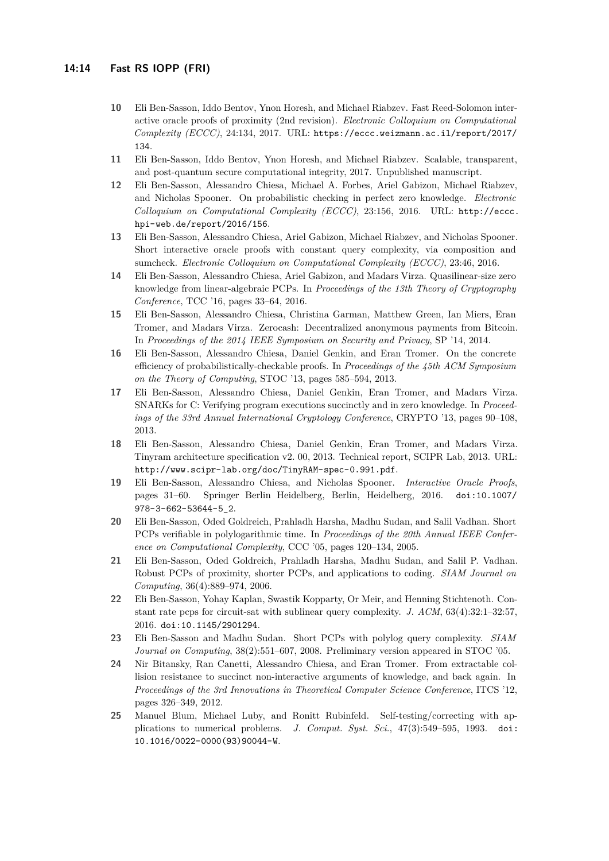- <span id="page-13-0"></span>**10** Eli Ben-Sasson, Iddo Bentov, Ynon Horesh, and Michael Riabzev. Fast Reed-Solomon interactive oracle proofs of proximity (2nd revision). *Electronic Colloquium on Computational Complexity (ECCC)*, 24:134, 2017. URL: [https://eccc.weizmann.ac.il/report/2017/](https://eccc.weizmann.ac.il/report/2017/134) [134](https://eccc.weizmann.ac.il/report/2017/134).
- <span id="page-13-9"></span>**11** Eli Ben-Sasson, Iddo Bentov, Ynon Horesh, and Michael Riabzev. Scalable, transparent, and post-quantum secure computational integrity, 2017. Unpublished manuscript.
- <span id="page-13-6"></span>**12** Eli Ben-Sasson, Alessandro Chiesa, Michael A. Forbes, Ariel Gabizon, Michael Riabzev, and Nicholas Spooner. On probabilistic checking in perfect zero knowledge. *Electronic Colloquium on Computational Complexity (ECCC)*, 23:156, 2016. URL: [http://eccc.](http://eccc.hpi-web.de/report/2016/156) [hpi-web.de/report/2016/156](http://eccc.hpi-web.de/report/2016/156).
- <span id="page-13-5"></span>**13** Eli Ben-Sasson, Alessandro Chiesa, Ariel Gabizon, Michael Riabzev, and Nicholas Spooner. Short interactive oracle proofs with constant query complexity, via composition and sumcheck. *Electronic Colloquium on Computational Complexity (ECCC)*, 23:46, 2016.
- <span id="page-13-8"></span>**14** Eli Ben-Sasson, Alessandro Chiesa, Ariel Gabizon, and Madars Virza. Quasilinear-size zero knowledge from linear-algebraic PCPs. In *Proceedings of the 13th Theory of Cryptography Conference*, TCC '16, pages 33–64, 2016.
- <span id="page-13-11"></span>**15** Eli Ben-Sasson, Alessandro Chiesa, Christina Garman, Matthew Green, Ian Miers, Eran Tromer, and Madars Virza. Zerocash: Decentralized anonymous payments from Bitcoin. In *Proceedings of the 2014 IEEE Symposium on Security and Privacy*, SP '14, 2014.
- <span id="page-13-3"></span>**16** Eli Ben-Sasson, Alessandro Chiesa, Daniel Genkin, and Eran Tromer. On the concrete efficiency of probabilistically-checkable proofs. In *Proceedings of the 45th ACM Symposium on the Theory of Computing*, STOC '13, pages 585–594, 2013.
- <span id="page-13-10"></span>**17** Eli Ben-Sasson, Alessandro Chiesa, Daniel Genkin, Eran Tromer, and Madars Virza. SNARKs for C: Verifying program executions succinctly and in zero knowledge. In *Proceedings of the 33rd Annual International Cryptology Conference*, CRYPTO '13, pages 90–108, 2013.
- <span id="page-13-13"></span>**18** Eli Ben-Sasson, Alessandro Chiesa, Daniel Genkin, Eran Tromer, and Madars Virza. Tinyram architecture specification v2. 00, 2013. Technical report, SCIPR Lab, 2013. URL: <http://www.scipr-lab.org/doc/TinyRAM-spec-0.991.pdf>.
- <span id="page-13-7"></span>**19** Eli Ben-Sasson, Alessandro Chiesa, and Nicholas Spooner. *Interactive Oracle Proofs*, pages 31–60. Springer Berlin Heidelberg, Berlin, Heidelberg, 2016. [doi:10.1007/](http://dx.doi.org/10.1007/978-3-662-53644-5_2) [978-3-662-53644-5\\_2](http://dx.doi.org/10.1007/978-3-662-53644-5_2).
- <span id="page-13-4"></span>**20** Eli Ben-Sasson, Oded Goldreich, Prahladh Harsha, Madhu Sudan, and Salil Vadhan. Short PCPs verifiable in polylogarithmic time. In *Proceedings of the 20th Annual IEEE Conference on Computational Complexity*, CCC '05, pages 120–134, 2005.
- <span id="page-13-1"></span>**21** Eli Ben-Sasson, Oded Goldreich, Prahladh Harsha, Madhu Sudan, and Salil P. Vadhan. Robust PCPs of proximity, shorter PCPs, and applications to coding. *SIAM Journal on Computing*, 36(4):889–974, 2006.
- <span id="page-13-15"></span>**22** Eli Ben-Sasson, Yohay Kaplan, Swastik Kopparty, Or Meir, and Henning Stichtenoth. Constant rate pcps for circuit-sat with sublinear query complexity. *J. ACM*, 63(4):32:1–32:57, 2016. [doi:10.1145/2901294](http://dx.doi.org/10.1145/2901294).
- <span id="page-13-2"></span>**23** Eli Ben-Sasson and Madhu Sudan. Short PCPs with polylog query complexity. *SIAM Journal on Computing*, 38(2):551–607, 2008. Preliminary version appeared in STOC '05.
- <span id="page-13-12"></span>**24** Nir Bitansky, Ran Canetti, Alessandro Chiesa, and Eran Tromer. From extractable collision resistance to succinct non-interactive arguments of knowledge, and back again. In *Proceedings of the 3rd Innovations in Theoretical Computer Science Conference*, ITCS '12, pages 326–349, 2012.
- <span id="page-13-14"></span>**25** Manuel Blum, Michael Luby, and Ronitt Rubinfeld. Self-testing/correcting with applications to numerical problems. *J. Comput. Syst. Sci.*, 47(3):549–595, 1993. [doi:](http://dx.doi.org/10.1016/0022-0000(93)90044-W) [10.1016/0022-0000\(93\)90044-W](http://dx.doi.org/10.1016/0022-0000(93)90044-W).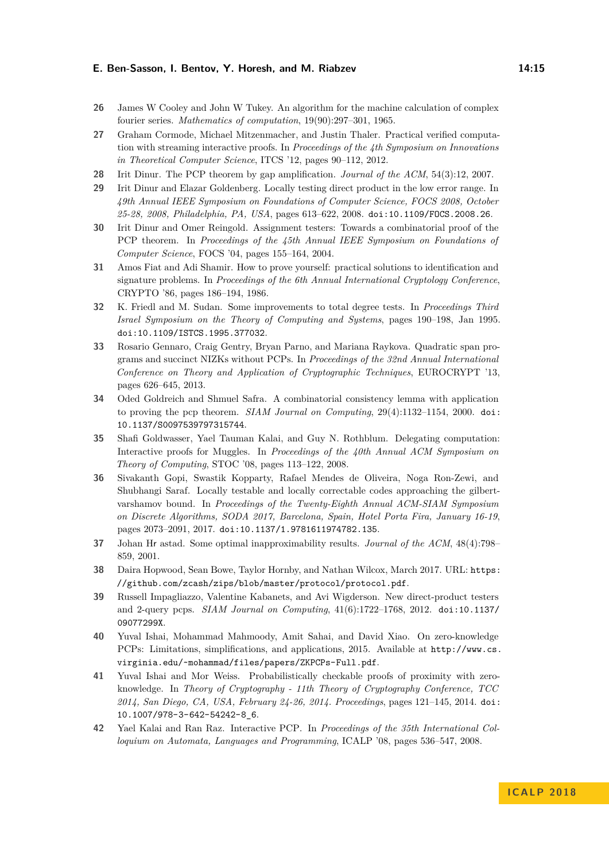- <span id="page-14-4"></span>**26** James W Cooley and John W Tukey. An algorithm for the machine calculation of complex fourier series. *Mathematics of computation*, 19(90):297–301, 1965.
- <span id="page-14-16"></span>**27** Graham Cormode, Michael Mitzenmacher, and Justin Thaler. Practical verified computation with streaming interactive proofs. In *Proceedings of the 4th Symposium on Innovations in Theoretical Computer Science*, ITCS '12, pages 90–112, 2012.
- <span id="page-14-2"></span>**28** Irit Dinur. The PCP theorem by gap amplification. *Journal of the ACM*, 54(3):12, 2007.
- <span id="page-14-13"></span>**29** Irit Dinur and Elazar Goldenberg. Locally testing direct product in the low error range. In *49th Annual IEEE Symposium on Foundations of Computer Science, FOCS 2008, October 25-28, 2008, Philadelphia, PA, USA*, pages 613–622, 2008. [doi:10.1109/FOCS.2008.26](http://dx.doi.org/10.1109/FOCS.2008.26).
- <span id="page-14-1"></span>**30** Irit Dinur and Omer Reingold. Assignment testers: Towards a combinatorial proof of the PCP theorem. In *Proceedings of the 45th Annual IEEE Symposium on Foundations of Computer Science*, FOCS '04, pages 155–164, 2004.
- <span id="page-14-7"></span>**31** Amos Fiat and Adi Shamir. How to prove yourself: practical solutions to identification and signature problems. In *Proceedings of the 6th Annual International Cryptology Conference*, CRYPTO '86, pages 186–194, 1986.
- <span id="page-14-0"></span>**32** K. Friedl and M. Sudan. Some improvements to total degree tests. In *Proceedings Third Israel Symposium on the Theory of Computing and Systems*, pages 190–198, Jan 1995. [doi:10.1109/ISTCS.1995.377032](http://dx.doi.org/10.1109/ISTCS.1995.377032).
- <span id="page-14-8"></span>**33** Rosario Gennaro, Craig Gentry, Bryan Parno, and Mariana Raykova. Quadratic span programs and succinct NIZKs without PCPs. In *Proceedings of the 32nd Annual International Conference on Theory and Application of Cryptographic Techniques*, EUROCRYPT '13, pages 626–645, 2013.
- <span id="page-14-12"></span>**34** Oded Goldreich and Shmuel Safra. A combinatorial consistency lemma with application to proving the pcp theorem. *SIAM Journal on Computing*, 29(4):1132–1154, 2000. [doi:](http://dx.doi.org/10.1137/S0097539797315744) [10.1137/S0097539797315744](http://dx.doi.org/10.1137/S0097539797315744).
- <span id="page-14-15"></span>**35** Shafi Goldwasser, Yael Tauman Kalai, and Guy N. Rothblum. Delegating computation: Interactive proofs for Muggles. In *Proceedings of the 40th Annual ACM Symposium on Theory of Computing*, STOC '08, pages 113–122, 2008.
- <span id="page-14-10"></span>**36** Sivakanth Gopi, Swastik Kopparty, Rafael Mendes de Oliveira, Noga Ron-Zewi, and Shubhangi Saraf. Locally testable and locally correctable codes approaching the gilbertvarshamov bound. In *Proceedings of the Twenty-Eighth Annual ACM-SIAM Symposium on Discrete Algorithms, SODA 2017, Barcelona, Spain, Hotel Porta Fira, January 16-19*, pages 2073–2091, 2017. [doi:10.1137/1.9781611974782.135](http://dx.doi.org/10.1137/1.9781611974782.135).
- <span id="page-14-11"></span>**37** Johan Hr astad. Some optimal inapproximability results. *Journal of the ACM*, 48(4):798– 859, 2001.
- <span id="page-14-9"></span>**38** Daira Hopwood, Sean Bowe, Taylor Hornby, and Nathan Wilcox, March 2017. URL: [https:](https://github.com/zcash/zips/blob/master/protocol/protocol.pdf) [//github.com/zcash/zips/blob/master/protocol/protocol.pdf](https://github.com/zcash/zips/blob/master/protocol/protocol.pdf).
- <span id="page-14-14"></span>**39** Russell Impagliazzo, Valentine Kabanets, and Avi Wigderson. New direct-product testers and 2-query pcps. *SIAM Journal on Computing*, 41(6):1722–1768, 2012. [doi:10.1137/](http://dx.doi.org/10.1137/09077299X) [09077299X](http://dx.doi.org/10.1137/09077299X).
- <span id="page-14-5"></span>**40** Yuval Ishai, Mohammad Mahmoody, Amit Sahai, and David Xiao. On zero-knowledge PCPs: Limitations, simplifications, and applications, 2015. Available at [http://www.cs.](http://www.cs.virginia.edu/~mohammad/files/papers/ZKPCPs-Full.pdf) [virginia.edu/~mohammad/files/papers/ZKPCPs-Full.pdf](http://www.cs.virginia.edu/~mohammad/files/papers/ZKPCPs-Full.pdf).
- <span id="page-14-6"></span>**41** Yuval Ishai and Mor Weiss. Probabilistically checkable proofs of proximity with zeroknowledge. In *Theory of Cryptography - 11th Theory of Cryptography Conference, TCC 2014, San Diego, CA, USA, February 24-26, 2014. Proceedings*, pages 121–145, 2014. [doi:](http://dx.doi.org/10.1007/978-3-642-54242-8_6) [10.1007/978-3-642-54242-8\\_6](http://dx.doi.org/10.1007/978-3-642-54242-8_6).
- <span id="page-14-3"></span>**42** Yael Kalai and Ran Raz. Interactive PCP. In *Proceedings of the 35th International Colloquium on Automata, Languages and Programming*, ICALP '08, pages 536–547, 2008.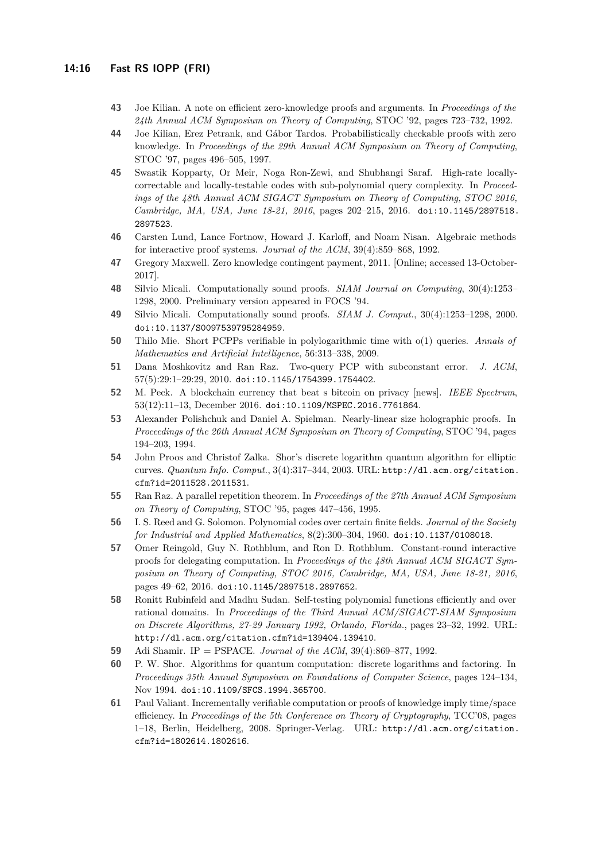- <span id="page-15-4"></span>**43** Joe Kilian. A note on efficient zero-knowledge proofs and arguments. In *Proceedings of the 24th Annual ACM Symposium on Theory of Computing*, STOC '92, pages 723–732, 1992.
- <span id="page-15-5"></span>**44** Joe Kilian, Erez Petrank, and Gábor Tardos. Probabilistically checkable proofs with zero knowledge. In *Proceedings of the 29th Annual ACM Symposium on Theory of Computing*, STOC '97, pages 496–505, 1997.
- <span id="page-15-13"></span>**45** Swastik Kopparty, Or Meir, Noga Ron-Zewi, and Shubhangi Saraf. High-rate locallycorrectable and locally-testable codes with sub-polynomial query complexity. In *Proceedings of the 48th Annual ACM SIGACT Symposium on Theory of Computing, STOC 2016, Cambridge, MA, USA, June 18-21, 2016*, pages 202–215, 2016. [doi:10.1145/2897518.](http://dx.doi.org/10.1145/2897518.2897523) [2897523](http://dx.doi.org/10.1145/2897518.2897523).
- <span id="page-15-16"></span>**46** Carsten Lund, Lance Fortnow, Howard J. Karloff, and Noam Nisan. Algebraic methods for interactive proof systems. *Journal of the ACM*, 39(4):859–868, 1992.
- <span id="page-15-12"></span>**47** Gregory Maxwell. Zero knowledge contingent payment, 2011. [Online; accessed 13-October-2017].
- <span id="page-15-6"></span>**48** Silvio Micali. Computationally sound proofs. *SIAM Journal on Computing*, 30(4):1253– 1298, 2000. Preliminary version appeared in FOCS '94.
- <span id="page-15-11"></span>**49** Silvio Micali. Computationally sound proofs. *SIAM J. Comput.*, 30(4):1253–1298, 2000. [doi:10.1137/S0097539795284959](http://dx.doi.org/10.1137/S0097539795284959).
- <span id="page-15-2"></span>**50** Thilo Mie. Short PCPPs verifiable in polylogarithmic time with o(1) queries. *Annals of Mathematics and Artificial Intelligence*, 56:313–338, 2009.
- <span id="page-15-14"></span>**51** Dana Moshkovitz and Ran Raz. Two-query PCP with subconstant error. *J. ACM*, 57(5):29:1–29:29, 2010. [doi:10.1145/1754399.1754402](http://dx.doi.org/10.1145/1754399.1754402).
- <span id="page-15-8"></span>**52** M. Peck. A blockchain currency that beat s bitcoin on privacy [news]. *IEEE Spectrum*, 53(12):11–13, December 2016. [doi:10.1109/MSPEC.2016.7761864](http://dx.doi.org/10.1109/MSPEC.2016.7761864).
- <span id="page-15-18"></span>**53** Alexander Polishchuk and Daniel A. Spielman. Nearly-linear size holographic proofs. In *Proceedings of the 26th Annual ACM Symposium on Theory of Computing*, STOC '94, pages 194–203, 1994.
- <span id="page-15-10"></span>**54** John Proos and Christof Zalka. Shor's discrete logarithm quantum algorithm for elliptic curves. *Quantum Info. Comput.*, 3(4):317–344, 2003. URL: [http://dl.acm.org/citation.](http://dl.acm.org/citation.cfm?id=2011528.2011531) [cfm?id=2011528.2011531](http://dl.acm.org/citation.cfm?id=2011528.2011531).
- <span id="page-15-15"></span>**55** Ran Raz. A parallel repetition theorem. In *Proceedings of the 27th Annual ACM Symposium on Theory of Computing*, STOC '95, pages 447–456, 1995.
- <span id="page-15-0"></span>**56** I. S. Reed and G. Solomon. Polynomial codes over certain finite fields. *Journal of the Society for Industrial and Applied Mathematics*, 8(2):300–304, 1960. [doi:10.1137/0108018](http://dx.doi.org/10.1137/0108018).
- <span id="page-15-3"></span>**57** Omer Reingold, Guy N. Rothblum, and Ron D. Rothblum. Constant-round interactive proofs for delegating computation. In *Proceedings of the 48th Annual ACM SIGACT Symposium on Theory of Computing, STOC 2016, Cambridge, MA, USA, June 18-21, 2016*, pages 49–62, 2016. [doi:10.1145/2897518.2897652](http://dx.doi.org/10.1145/2897518.2897652).
- <span id="page-15-1"></span>**58** Ronitt Rubinfeld and Madhu Sudan. Self-testing polynomial functions efficiently and over rational domains. In *Proceedings of the Third Annual ACM/SIGACT-SIAM Symposium on Discrete Algorithms, 27-29 January 1992, Orlando, Florida.*, pages 23–32, 1992. URL: <http://dl.acm.org/citation.cfm?id=139404.139410>.
- <span id="page-15-17"></span>**59** Adi Shamir. IP = PSPACE. *Journal of the ACM*, 39(4):869–877, 1992.
- <span id="page-15-9"></span>**60** P. W. Shor. Algorithms for quantum computation: discrete logarithms and factoring. In *Proceedings 35th Annual Symposium on Foundations of Computer Science*, pages 124–134, Nov 1994. [doi:10.1109/SFCS.1994.365700](http://dx.doi.org/10.1109/SFCS.1994.365700).
- <span id="page-15-7"></span>**61** Paul Valiant. Incrementally verifiable computation or proofs of knowledge imply time/space efficiency. In *Proceedings of the 5th Conference on Theory of Cryptography*, TCC'08, pages 1–18, Berlin, Heidelberg, 2008. Springer-Verlag. URL: [http://dl.acm.org/citation.](http://dl.acm.org/citation.cfm?id=1802614.1802616) [cfm?id=1802614.1802616](http://dl.acm.org/citation.cfm?id=1802614.1802616).